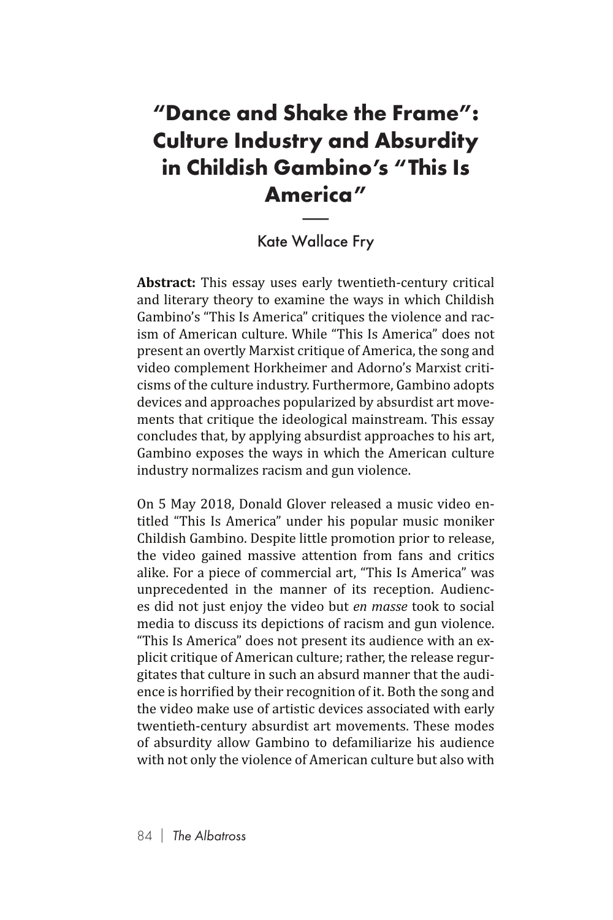## **"Dance and Shake the Frame": Culture Industry and Absurdity in Childish Gambino's "This Is America"** ry c<br>amb<br>eric<br><sub>Malla</sub>

## Kate Wallace Fry

**Abstract:** This essay uses early twentieth-century critical and literary theory to examine the ways in which Childish Gambino's "This Is America" critiques the violence and racism of American culture. While "This Is America" does not present an overtly Marxist critique of America, the song and video complement Horkheimer and Adorno's Marxist criticisms of the culture industry. Furthermore, Gambino adopts devices and approaches popularized by absurdist art movements that critique the ideological mainstream. This essay concludes that, by applying absurdist approaches to his art, Gambino exposes the ways in which the American culture industry normalizes racism and gun violence.

On 5 May 2018, Donald Glover released a music video entitled "This Is America" under his popular music moniker Childish Gambino. Despite little promotion prior to release, the video gained massive attention from fans and critics alike. For a piece of commercial art, "This Is America" was unprecedented in the manner of its reception. Audiences did not just enjoy the video but *en masse* took to social media to discuss its depictions of racism and gun violence. "This Is America" does not present its audience with an explicit critique of American culture; rather, the release regurgitates that culture in such an absurd manner that the audience is horrified by their recognition of it. Both the song and the video make use of artistic devices associated with early twentieth-century absurdist art movements. These modes of absurdity allow Gambino to defamiliarize his audience with not only the violence of American culture but also with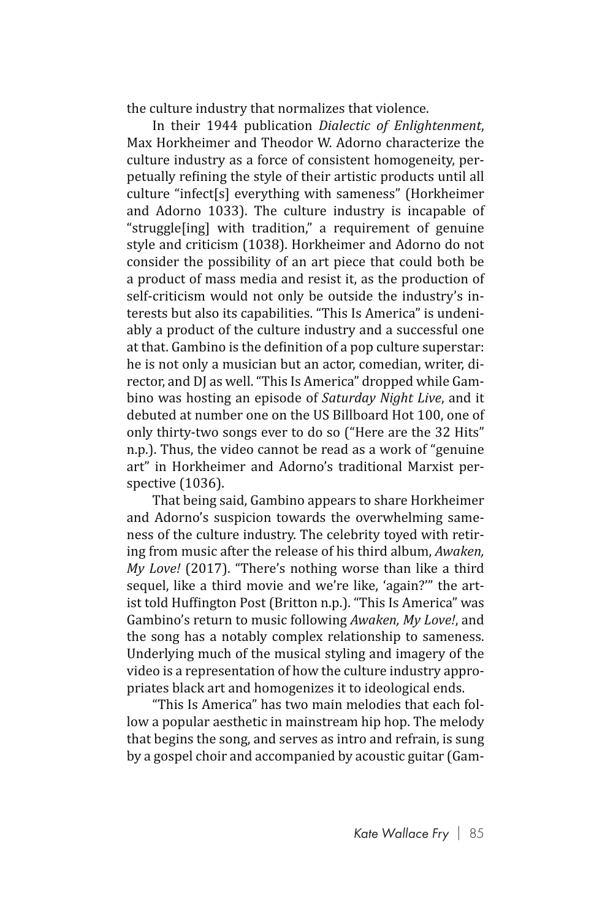the culture industry that normalizes that violence.

In their 1944 publication *Dialectic of Enlightenment*, Max Horkheimer and Theodor W. Adorno characterize the culture industry as a force of consistent homogeneity, perpetually refining the style of their artistic products until all culture "infect[s] everything with sameness" (Horkheimer and Adorno 1033). The culture industry is incapable of "struggle[ing] with tradition," a requirement of genuine style and criticism (1038). Horkheimer and Adorno do not consider the possibility of an art piece that could both be a product of mass media and resist it, as the production of self-criticism would not only be outside the industry's interests but also its capabilities. "This Is America" is undeniably a product of the culture industry and a successful one at that. Gambino is the definition of a pop culture superstar: he is not only a musician but an actor, comedian, writer, director, and DJ as well. "This Is America" dropped while Gambino was hosting an episode of *Saturday Night Live*, and it debuted at number one on the US Billboard Hot 100, one of only thirty-two songs ever to do so ("Here are the 32 Hits" n.p.). Thus, the video cannot be read as a work of "genuine art" in Horkheimer and Adorno's traditional Marxist perspective (1036).

That being said, Gambino appears to share Horkheimer and Adorno's suspicion towards the overwhelming sameness of the culture industry. The celebrity toyed with retiring from music after the release of his third album, *Awaken, My Love!* (2017). "There's nothing worse than like a third sequel, like a third movie and we're like, 'again?'" the artist told Huffington Post (Britton n.p.). "This Is America" was Gambino's return to music following *Awaken, My Love!*, and the song has a notably complex relationship to sameness. Underlying much of the musical styling and imagery of the video is a representation of how the culture industry appropriates black art and homogenizes it to ideological ends.

"This Is America" has two main melodies that each follow a popular aesthetic in mainstream hip hop. The melody that begins the song, and serves as intro and refrain, is sung by a gospel choir and accompanied by acoustic guitar (Gam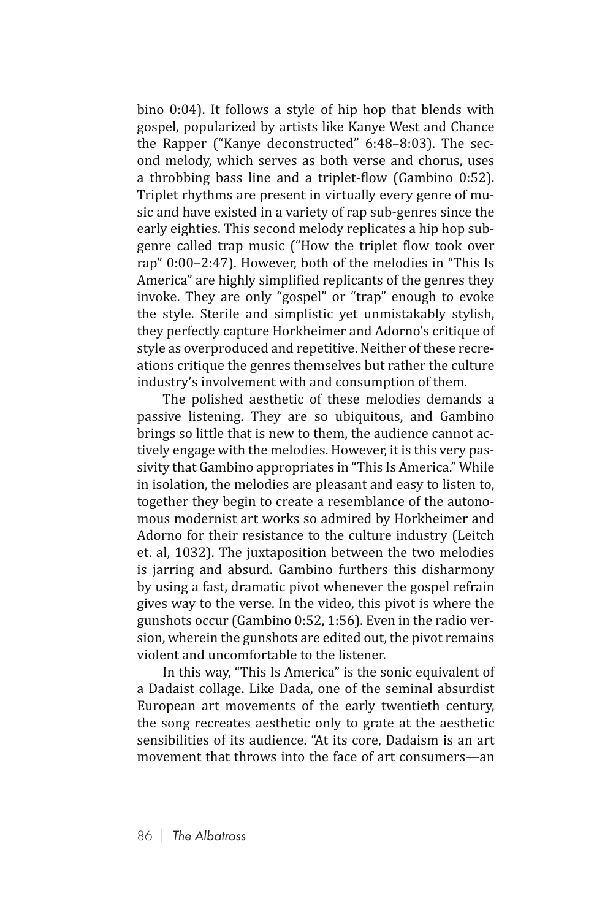bino 0:04). It follows a style of hip hop that blends with gospel, popularized by artists like Kanye West and Chance the Rapper ("Kanye deconstructed" 6:48–8:03). The second melody, which serves as both verse and chorus, uses a throbbing bass line and a triplet-flow (Gambino 0:52). Triplet rhythms are present in virtually every genre of music and have existed in a variety of rap sub-genres since the early eighties. This second melody replicates a hip hop subgenre called trap music ("How the triplet flow took over rap" 0:00–2:47). However, both of the melodies in "This Is America" are highly simplified replicants of the genres they invoke. They are only "gospel" or "trap" enough to evoke the style. Sterile and simplistic yet unmistakably stylish, they perfectly capture Horkheimer and Adorno's critique of style as overproduced and repetitive. Neither of these recreations critique the genres themselves but rather the culture industry's involvement with and consumption of them.

The polished aesthetic of these melodies demands a passive listening. They are so ubiquitous, and Gambino brings so little that is new to them, the audience cannot actively engage with the melodies. However, it is this very passivity that Gambino appropriates in "This Is America." While in isolation, the melodies are pleasant and easy to listen to, together they begin to create a resemblance of the autonomous modernist art works so admired by Horkheimer and Adorno for their resistance to the culture industry (Leitch et. al, 1032). The juxtaposition between the two melodies is jarring and absurd. Gambino furthers this disharmony by using a fast, dramatic pivot whenever the gospel refrain gives way to the verse. In the video, this pivot is where the gunshots occur (Gambino 0:52, 1:56). Even in the radio version, wherein the gunshots are edited out, the pivot remains violent and uncomfortable to the listener.

In this way, "This Is America" is the sonic equivalent of a Dadaist collage. Like Dada, one of the seminal absurdist European art movements of the early twentieth century, the song recreates aesthetic only to grate at the aesthetic sensibilities of its audience. "At its core, Dadaism is an art movement that throws into the face of art consumers—an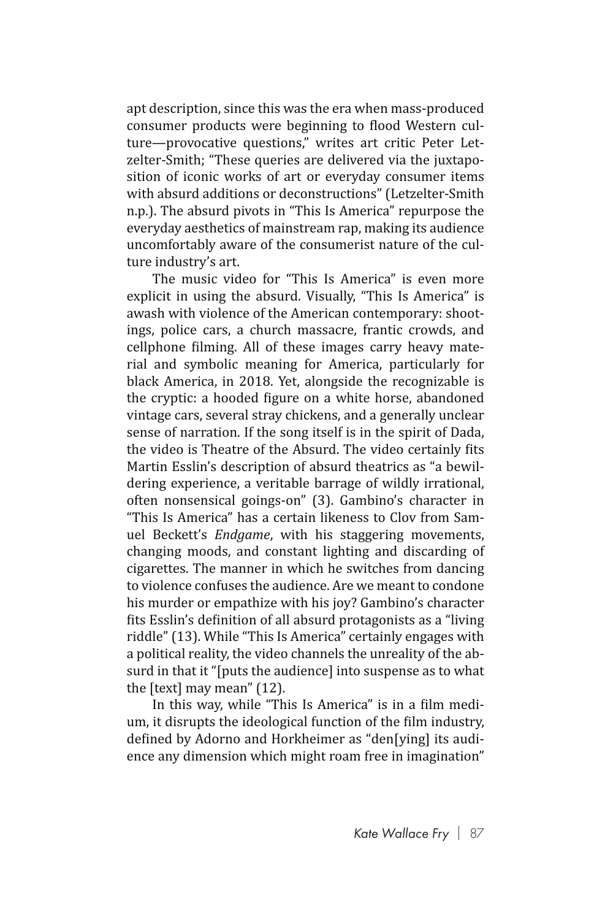apt description, since this was the era when mass-produced consumer products were beginning to flood Western culture—provocative questions," writes art critic Peter Letzelter-Smith; "These queries are delivered via the juxtaposition of iconic works of art or everyday consumer items with absurd additions or deconstructions" (Letzelter-Smith n.p.). The absurd pivots in "This Is America" repurpose the everyday aesthetics of mainstream rap, making its audience uncomfortably aware of the consumerist nature of the culture industry's art.

The music video for "This Is America" is even more explicit in using the absurd. Visually, "This Is America" is awash with violence of the American contemporary: shootings, police cars, a church massacre, frantic crowds, and cellphone filming. All of these images carry heavy material and symbolic meaning for America, particularly for black America, in 2018. Yet, alongside the recognizable is the cryptic: a hooded figure on a white horse, abandoned vintage cars, several stray chickens, and a generally unclear sense of narration. If the song itself is in the spirit of Dada, the video is Theatre of the Absurd. The video certainly fits Martin Esslin's description of absurd theatrics as "a bewildering experience, a veritable barrage of wildly irrational, often nonsensical goings-on" (3). Gambino's character in "This Is America" has a certain likeness to Clov from Samuel Beckett's *Endgame*, with his staggering movements, changing moods, and constant lighting and discarding of cigarettes. The manner in which he switches from dancing to violence confuses the audience. Are we meant to condone his murder or empathize with his joy? Gambino's character fits Esslin's definition of all absurd protagonists as a "living riddle" (13). While "This Is America" certainly engages with a political reality, the video channels the unreality of the absurd in that it "[puts the audience] into suspense as to what the [text] may mean" (12).

In this way, while "This Is America" is in a film medium, it disrupts the ideological function of the film industry, defined by Adorno and Horkheimer as "den[ying] its audience any dimension which might roam free in imagination"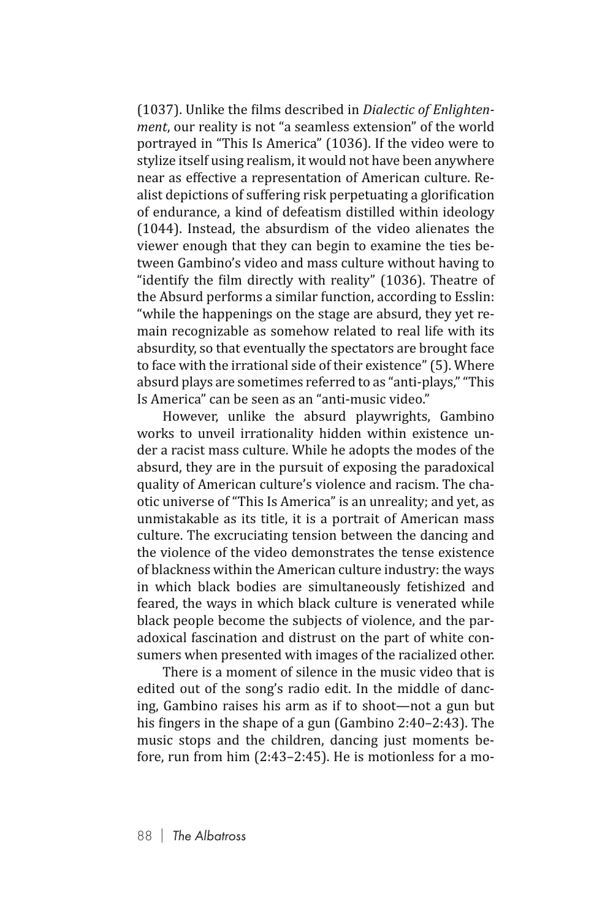(1037). Unlike the films described in *Dialectic of Enlightenment*, our reality is not "a seamless extension" of the world portrayed in "This Is America" (1036). If the video were to stylize itself using realism, it would not have been anywhere near as effective a representation of American culture. Realist depictions of suffering risk perpetuating a glorification of endurance, a kind of defeatism distilled within ideology (1044). Instead, the absurdism of the video alienates the viewer enough that they can begin to examine the ties between Gambino's video and mass culture without having to "identify the film directly with reality" (1036). Theatre of the Absurd performs a similar function, according to Esslin: "while the happenings on the stage are absurd, they yet remain recognizable as somehow related to real life with its absurdity, so that eventually the spectators are brought face to face with the irrational side of their existence" (5). Where absurd plays are sometimes referred to as "anti-plays," "This Is America" can be seen as an "anti-music video."

However, unlike the absurd playwrights, Gambino works to unveil irrationality hidden within existence under a racist mass culture. While he adopts the modes of the absurd, they are in the pursuit of exposing the paradoxical quality of American culture's violence and racism. The chaotic universe of "This Is America" is an unreality; and yet, as unmistakable as its title, it is a portrait of American mass culture. The excruciating tension between the dancing and the violence of the video demonstrates the tense existence of blackness within the American culture industry: the ways in which black bodies are simultaneously fetishized and feared, the ways in which black culture is venerated while black people become the subjects of violence, and the paradoxical fascination and distrust on the part of white consumers when presented with images of the racialized other.

There is a moment of silence in the music video that is edited out of the song's radio edit. In the middle of dancing, Gambino raises his arm as if to shoot—not a gun but his fingers in the shape of a gun (Gambino 2:40–2:43). The music stops and the children, dancing just moments before, run from him (2:43–2:45). He is motionless for a mo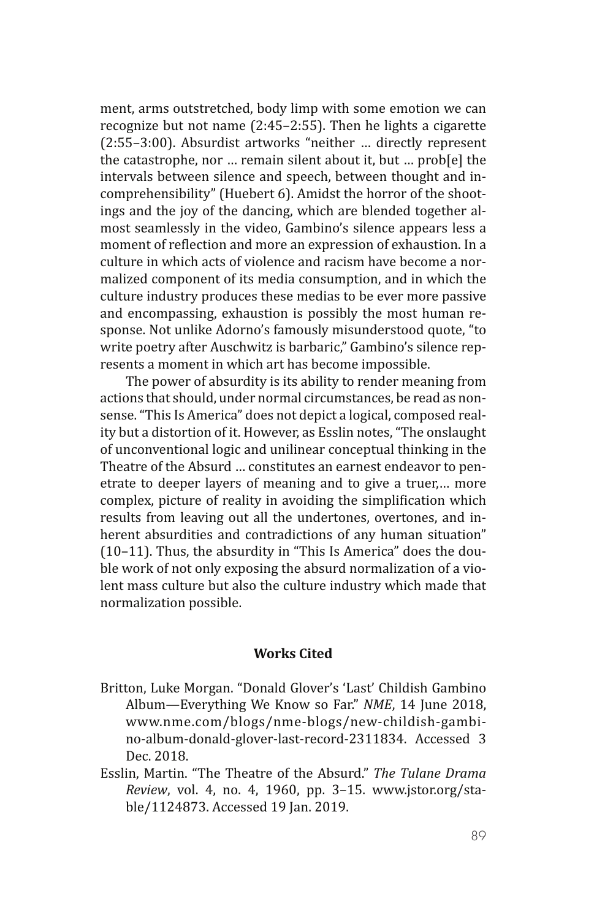ment, arms outstretched, body limp with some emotion we can recognize but not name (2:45–2:55). Then he lights a cigarette (2:55–3:00). Absurdist artworks "neither … directly represent the catastrophe, nor … remain silent about it, but … prob[e] the intervals between silence and speech, between thought and incomprehensibility" (Huebert 6). Amidst the horror of the shootings and the joy of the dancing, which are blended together almost seamlessly in the video, Gambino's silence appears less a moment of reflection and more an expression of exhaustion. In a culture in which acts of violence and racism have become a normalized component of its media consumption, and in which the culture industry produces these medias to be ever more passive and encompassing, exhaustion is possibly the most human response. Not unlike Adorno's famously misunderstood quote, "to write poetry after Auschwitz is barbaric," Gambino's silence represents a moment in which art has become impossible.

The power of absurdity is its ability to render meaning from actions that should, under normal circumstances, be read as nonsense. "This Is America" does not depict a logical, composed reality but a distortion of it. However, as Esslin notes, "The onslaught of unconventional logic and unilinear conceptual thinking in the Theatre of the Absurd … constitutes an earnest endeavor to penetrate to deeper layers of meaning and to give a truer,… more complex, picture of reality in avoiding the simplification which results from leaving out all the undertones, overtones, and inherent absurdities and contradictions of any human situation" (10–11). Thus, the absurdity in "This Is America" does the double work of not only exposing the absurd normalization of a violent mass culture but also the culture industry which made that normalization possible.

## **Works Cited**

- Britton, Luke Morgan. "Donald Glover's 'Last' Childish Gambino Album—Everything We Know so Far." *NME*, 14 June 2018, www.nme.com/blogs/nme-blogs/new-childish-gambino-album-donald-glover-last-record-2311834. Accessed 3 Dec. 2018.
- Esslin, Martin. "The Theatre of the Absurd." *The Tulane Drama Review*, vol. 4, no. 4, 1960, pp. 3–15. www.jstor.org/stable/1124873. Accessed 19 Jan. 2019.